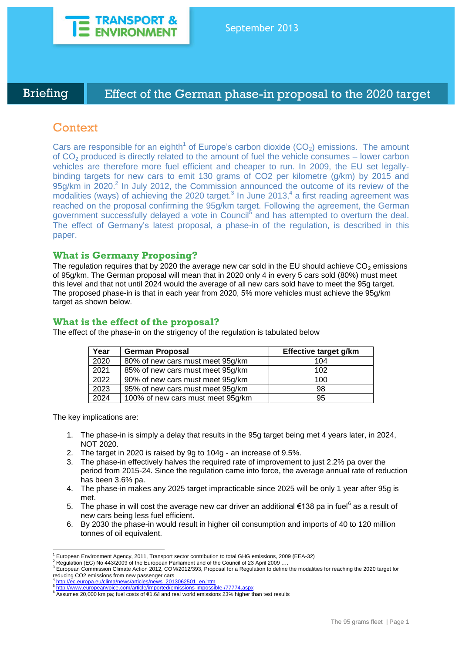

Briefing **Effect of the German phase-in proposal to the 2020 target** 104g/kmThe 95 grams fleet - TODAY

# **Context**

Cars are responsible for an eighth<sup>1</sup> of Europe's carbon dioxide  $(CO<sub>2</sub>)$  emissions. The amount of  $CO<sub>2</sub>$  produced is directly related to the amount of fuel the vehicle consumes – lower carbon vehicles are therefore more fuel efficient and cheaper to run. In 2009, the EU set legallybinding targets for new cars to emit 130 grams of CO2 per kilometre (g/km) by 2015 and 95g/km in 2020.<sup>2</sup> In July 2012, the Commission announced the outcome of its review of the modalities (ways) of achieving the 2020 target. $3$  In June 2013, $4$  a first reading agreement was reached on the proposal confirming the 95g/km target. Following the agreement, the German government successfully delayed a vote in Council<sup>5</sup> and has attempted to overturn the deal. The effect of Germany's latest proposal, a phase-in of the regulation, is described in this paper.

### **What is Germany Proposing?**

The regulation requires that by 2020 the average new car sold in the EU should achieve  $CO<sub>2</sub>$  emissions of 95g/km. The German proposal will mean that in 2020 only 4 in every 5 cars sold (80%) must meet this level and that not until 2024 would the average of all new cars sold have to meet the 95g target. The proposed phase-in is that in each year from 2020, 5% more vehicles must achieve the 95g/km target as shown below.

# **What is the effect of the proposal?**

The effect of the phase-in on the strigency of the regulation is tabulated below

| Year | <b>German Proposal</b>            | Effective target g/km |
|------|-----------------------------------|-----------------------|
| 2020 | 80% of new cars must meet 95g/km  | 104                   |
| 2021 | 85% of new cars must meet 95g/km  | 102                   |
| 2022 | 90% of new cars must meet 95g/km  | 100                   |
| 2023 | 95% of new cars must meet 95g/km  | 98                    |
| 2024 | 100% of new cars must meet 95g/km | 95                    |

The key implications are:

- 1. The phase-in is simply a delay that results in the 95g target being met 4 years later, in 2024, NOT 2020.
- 2. The target in 2020 is raised by 9g to 104g an increase of 9.5%.
- 3. The phase-in effectively halves the required rate of improvement to just 2.2% pa over the period from 2015-24. Since the regulation came into force, the average annual rate of reduction has been 3.6% pa.
- 4. The phase-in makes any 2025 target impracticable since 2025 will be only 1 year after 95g is met.
- 5. The phase in will cost the average new car driver an additional €138 pa in fuel<sup>6</sup> as a result of new cars being less fuel efficient.
- 6. By 2030 the phase-in would result in higher oil consumption and imports of 40 to 120 million tonnes of oil equivalent.

<sup>1</sup> European Environment Agency, 2011, Transport sector contribution to total GHG emissions, 2009 (EEA-32)

<sup>&</sup>lt;sup>2</sup> Regulation (EC) No 443/2009 of the European Parliament and of the Council of 23 April 2009 ...

<sup>&</sup>lt;sup>3</sup> European Commission Climate Action 2012, COM/2012/393, Proposal for a Regulation to define the modalities for reaching the 2020 target for reducing CO2 emissions from new passenger cars

<sup>4</sup> [http://ec.europa.eu/clima/news/articles/news\\_2013062501\\_en.htm](http://ec.europa.eu/clima/news/articles/news_2013062501_en.htm) 5 <http://www.europeanvoice.com/article/imported/emissions-impossible-/77774.aspx>

<sup>6</sup> Assumes 20,000 km pa; fuel costs of €1.6/l and real world emissions 23% higher than test results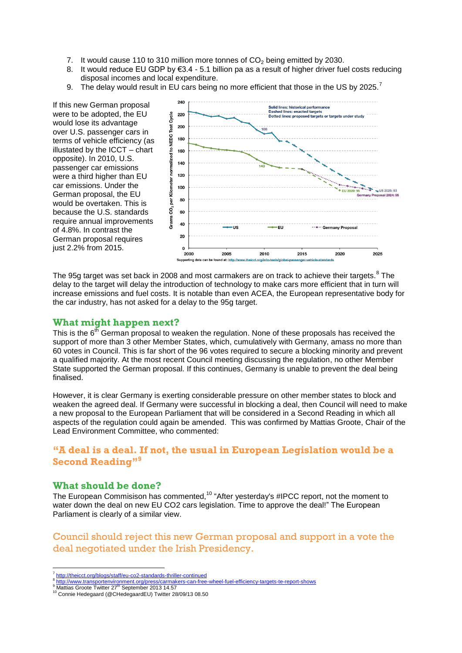- 7. It would cause 110 to 310 million more tonnes of  $CO<sub>2</sub>$  being emitted by 2030.
- 8. It would reduce EU GDP by €3.4 5.1 billion pa as a result of higher driver fuel costs reducing disposal incomes and local expenditure.
- 9. The delay would result in EU cars being no more efficient that those in the US by 2025.

If this new German proposal were to be adopted, the EU would lose its advantage over U.S. passenger cars in terms of vehicle efficiency (as illustated by the ICCT – chart opposite). In 2010, U.S. passenger car emissions were a third higher than EU car emissions. Under the German proposal, the EU would be overtaken. This is because the U.S. standards require annual improvements of 4.8%. In contrast the German proposal requires just 2.2% from 2015.



The 95g target was set back in 2008 and most carmakers are on track to achieve their targets. $8$  The delay to the target will delay the introduction of technology to make cars more efficient that in turn will increase emissions and fuel costs. It is notable than even ACEA, the European representative body for the car industry, has not asked for a delay to the 95g target.

### **What might happen next?**

This is the  $6<sup>th</sup>$  German proposal to weaken the regulation. None of these proposals has received the support of more than 3 other Member States, which, cumulatively with Germany, amass no more than 60 votes in Council. This is far short of the 96 votes required to secure a blocking minority and prevent a qualified majority. At the most recent Council meeting discussing the regulation, no other Member State supported the German proposal. If this continues, Germany is unable to prevent the deal being finalised.

However, it is clear Germany is exerting considerable pressure on other member states to block and weaken the agreed deal. If Germany were successful in blocking a deal, then Council will need to make a new proposal to the European Parliament that will be considered in a Second Reading in which all aspects of the regulation could again be amended. This was confirmed by Mattias Groote, Chair of the Lead Environment Committee, who commented:

# **"A deal is a deal. If not, the usual in European Legislation would be a Second Reading"<sup>9</sup>**

### **What should be done?**

The European Commisison has commented,<sup>10</sup> "After yesterday's #IPCC report, not the moment to water down the deal on new EU CO2 cars legislation. Time to approve the deal!" The European Parliament is clearly of a similar view.

Council should reject this new German proposal and support in a vote the deal negotiated under the Irish Presidency.

 $\overline{a}$ <sup>7</sup> <http://theicct.org/blogs/staff/eu-co2-standards-thriller-continued>

<sup>&</sup>lt;sup>8</sup> <http://www.transportenvironment.org/press/carmakers-can-free-wheel-fuel-efficiency-targets-te-report-shows><br><sup>9</sup> Mattias Groote Twitter 27<sup>th</sup> September 2013 14.57

<sup>10</sup> Connie Hedegaard (@CHedegaardEU) Twitter 28/09/13 08.50